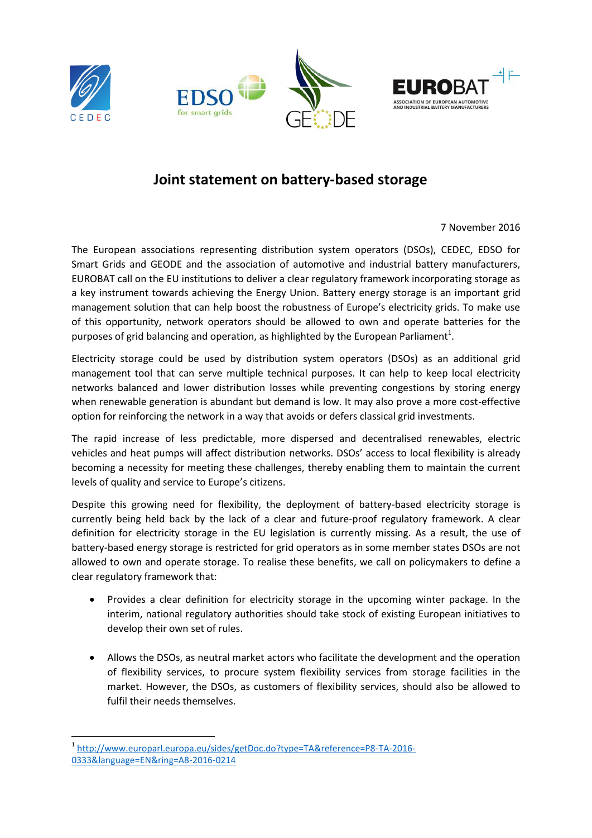







## **Joint statement on battery-based storage**

7 November 2016

The European associations representing distribution system operators (DSOs), CEDEC, EDSO for Smart Grids and GEODE and the association of automotive and industrial battery manufacturers, EUROBAT call on the EU institutions to deliver a clear regulatory framework incorporating storage as a key instrument towards achieving the Energy Union. Battery energy storage is an important grid management solution that can help boost the robustness of Europe's electricity grids. To make use of this opportunity, network operators should be allowed to own and operate batteries for the purposes of grid balancing and operation, as highlighted by the European Parliament<sup>1</sup>.

Electricity storage could be used by distribution system operators (DSOs) as an additional grid management tool that can serve multiple technical purposes. It can help to keep local electricity networks balanced and lower distribution losses while preventing congestions by storing energy when renewable generation is abundant but demand is low. It may also prove a more cost-effective option for reinforcing the network in a way that avoids or defers classical grid investments.

The rapid increase of less predictable, more dispersed and decentralised renewables, electric vehicles and heat pumps will affect distribution networks. DSOs' access to local flexibility is already becoming a necessity for meeting these challenges, thereby enabling them to maintain the current levels of quality and service to Europe's citizens.

Despite this growing need for flexibility, the deployment of battery-based electricity storage is currently being held back by the lack of a clear and future-proof regulatory framework. A clear definition for electricity storage in the EU legislation is currently missing. As a result, the use of battery-based energy storage is restricted for grid operators as in some member states DSOs are not allowed to own and operate storage. To realise these benefits, we call on policymakers to define a clear regulatory framework that:

- Provides a clear definition for electricity storage in the upcoming winter package. In the interim, national regulatory authorities should take stock of existing European initiatives to develop their own set of rules.
- Allows the DSOs, as neutral market actors who facilitate the development and the operation of flexibility services, to procure system flexibility services from storage facilities in the market. However, the DSOs, as customers of flexibility services, should also be allowed to fulfil their needs themselves.

**<sup>.</sup>** 1 [http://www.europarl.europa.eu/sides/getDoc.do?type=TA&reference=P8-TA-2016-](http://www.europarl.europa.eu/sides/getDoc.do?type=TA&reference=P8-TA-2016-0333&language=EN&ring=A8-2016-0214) [0333&language=EN&ring=A8-2016-0214](http://www.europarl.europa.eu/sides/getDoc.do?type=TA&reference=P8-TA-2016-0333&language=EN&ring=A8-2016-0214)